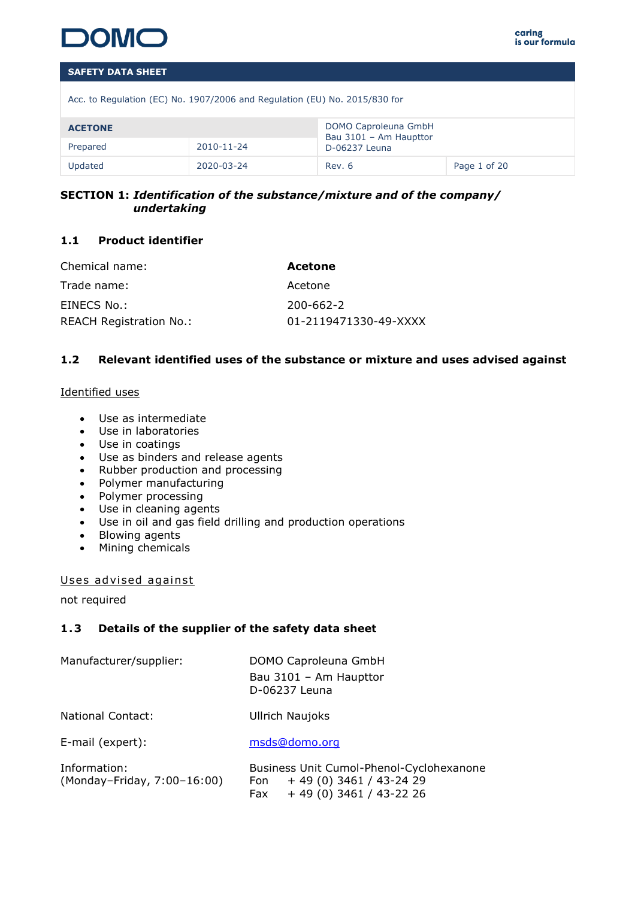

Acc. to Regulation (EC) No. 1907/2006 and Regulation (EU) No. 2015/830 for

| <b>ACETONE</b> |            | DOMO Caproleuna GmbH<br>Bau 3101 - Am Haupttor |              |
|----------------|------------|------------------------------------------------|--------------|
| Prepared       | 2010-11-24 |                                                |              |
| Updated        | 2020-03-24 | Rev. 6                                         | Page 1 of 20 |

# **SECTION 1:** *Identification of the substance/mixture and of the company/ undertaking*

# **1.1 Product identifier**

| Chemical name:                 | Acetone               |
|--------------------------------|-----------------------|
| Trade name:                    | Acetone               |
| EINECS No.:                    | 200-662-2             |
| <b>REACH Registration No.:</b> | 01-2119471330-49-XXXX |

# **1.2 Relevant identified uses of the substance or mixture and uses advised against**

### Identified uses

- Use as intermediate
- Use in laboratories
- Use in coatings
- Use as binders and release agents
- Rubber production and processing
- Polymer manufacturing
- Polymer processing
- Use in cleaning agents
- Use in oil and gas field drilling and production operations
- Blowing agents
- Mining chemicals

Uses advised against

not required

# **1 .3 Details of the supplier of the safety data sheet**

| Manufacturer/supplier:                      | DOMO Caproleuna GmbH<br>Bau 3101 - Am Haupttor<br>D-06237 Leuna                                        |
|---------------------------------------------|--------------------------------------------------------------------------------------------------------|
| <b>National Contact:</b>                    | <b>Ullrich Naujoks</b>                                                                                 |
| E-mail (expert):                            | msds@domo.org                                                                                          |
| Information:<br>(Monday-Friday, 7:00-16:00) | Business Unit Cumol-Phenol-Cyclohexanone<br>$+49(0)3461/43-2429$<br>Fon<br>$+49(0)3461/43-2226$<br>Fax |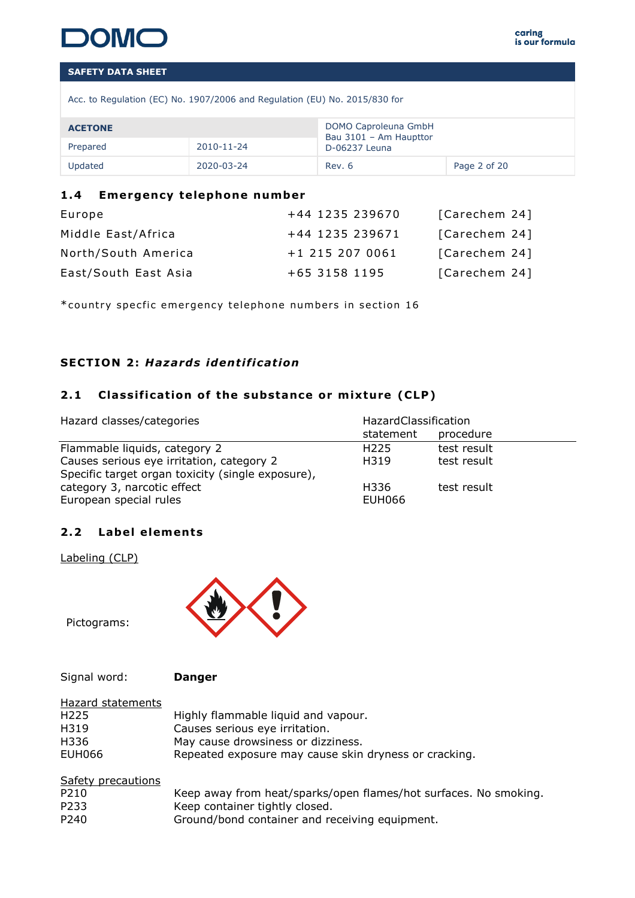

Acc. to Regulation (EC) No. 1907/2006 and Regulation (EU) No. 2015/830 for

| <b>ACETONE</b>         |            | DOMO Caproleuna GmbH<br>Bau 3101 - Am Haupttor |              |
|------------------------|------------|------------------------------------------------|--------------|
| 2010-11-24<br>Prepared |            | D-06237 Leuna                                  |              |
| Updated                | 2020-03-24 | Rev. 6                                         | Page 2 of 20 |

# 1.4 **Emergency telephone number**

| Europe               | +44 1235 239670 | [Carechem 24] |
|----------------------|-----------------|---------------|
| Middle East/Africa   | +44 1235 239671 | [Carechem 24] |
| North/South America  | +1 215 207 0061 | [Carechem 24] |
| East/South East Asia | +65 3158 1195   | [Carechem 24] |

\*country specfic emergency telephone numbers in section 16

# **SECTION 2: Hazards identification**

# 2.1 Classification of the substance or mixture (CLP)

| Hazard classes/categories                         | HazardClassification |             |  |  |
|---------------------------------------------------|----------------------|-------------|--|--|
|                                                   | statement            | procedure   |  |  |
| Flammable liquids, category 2                     | H <sub>225</sub>     | test result |  |  |
| Causes serious eye irritation, category 2         | H319                 | test result |  |  |
| Specific target organ toxicity (single exposure), |                      |             |  |  |
| category 3, narcotic effect                       | H336                 | test result |  |  |
| European special rules                            | <b>EUH066</b>        |             |  |  |

# 2.2 Label elements

Labeling (CLP)



Pictograms:

Signal word: **Danger**

| Hazard statements |                                                       |
|-------------------|-------------------------------------------------------|
| H <sub>225</sub>  | Highly flammable liquid and vapour.                   |
| H319              | Causes serious eye irritation.                        |
| H336              | May cause drowsiness or dizziness.                    |
| EUH066            | Repeated exposure may cause skin dryness or cracking. |

| Safety precautions |                                                                  |
|--------------------|------------------------------------------------------------------|
| P210               | Keep away from heat/sparks/open flames/hot surfaces. No smoking. |
| P233               | Keep container tightly closed.                                   |
| P240               | Ground/bond container and receiving equipment.                   |
|                    |                                                                  |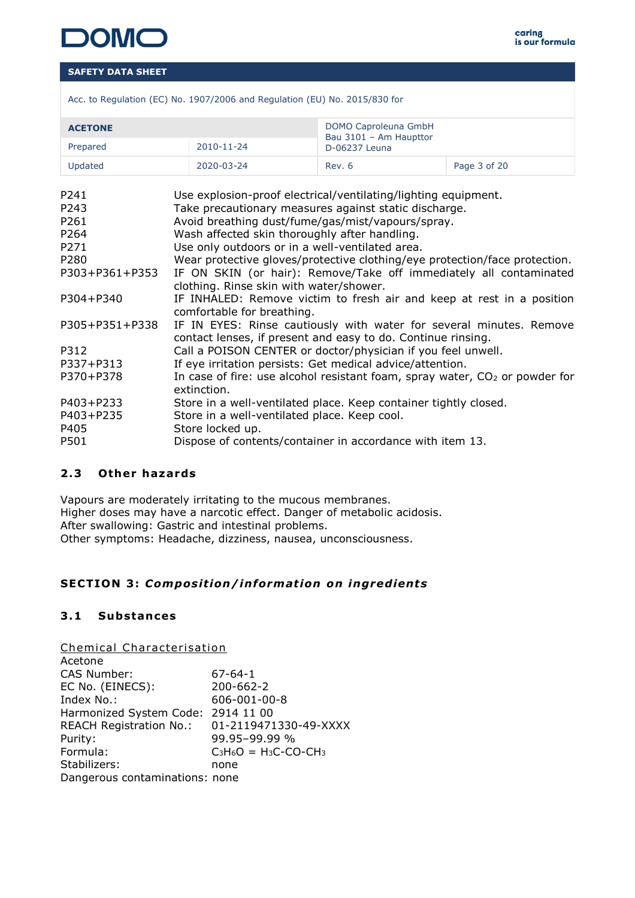

|  |  |  |  |  | Acc. to Regulation (EC) No. 1907/2006 and Regulation (EU) No. 2015/830 for |
|--|--|--|--|--|----------------------------------------------------------------------------|
|  |  |  |  |  |                                                                            |
|  |  |  |  |  |                                                                            |

| <b>ACETONE</b> |            | DOMO Caproleuna GmbH<br>Bau 3101 - Am Haupttor |              |
|----------------|------------|------------------------------------------------|--------------|
| Prepared       | 2010-11-24 | D-06237 Leuna                                  |              |
| Updated        | 2020-03-24 | Rev. 6                                         | Page 3 of 20 |

| P <sub>241</sub> | Use explosion-proof electrical/ventilating/lighting equipment.                                                                      |
|------------------|-------------------------------------------------------------------------------------------------------------------------------------|
| P243             | Take precautionary measures against static discharge.                                                                               |
| P261             | Avoid breathing dust/fume/gas/mist/vapours/spray.                                                                                   |
| P <sub>264</sub> | Wash affected skin thoroughly after handling.                                                                                       |
| P271             | Use only outdoors or in a well-ventilated area.                                                                                     |
| P280             | Wear protective gloves/protective clothing/eye protection/face protection.                                                          |
| P303+P361+P353   | IF ON SKIN (or hair): Remove/Take off immediately all contaminated<br>clothing. Rinse skin with water/shower.                       |
| P304+P340        | IF INHALED: Remove victim to fresh air and keep at rest in a position<br>comfortable for breathing.                                 |
| P305+P351+P338   | IF IN EYES: Rinse cautiously with water for several minutes. Remove<br>contact lenses, if present and easy to do. Continue rinsing. |
| P312             | Call a POISON CENTER or doctor/physician if you feel unwell.                                                                        |
| P337+P313        | If eye irritation persists: Get medical advice/attention.                                                                           |
| P370+P378        | In case of fire: use alcohol resistant foam, spray water, $CO2$ or powder for<br>extinction.                                        |
| P403+P233        | Store in a well-ventilated place. Keep container tightly closed.                                                                    |
| P403+P235        | Store in a well-ventilated place. Keep cool.                                                                                        |
| P405             | Store locked up.                                                                                                                    |
| P501             | Dispose of contents/container in accordance with item 13.                                                                           |

# **2 .3 Other hazards**

Vapours are moderately irritating to the mucous membranes. Higher doses may have a narcotic effect. Danger of metabolic acidosis. After swallowing: Gastric and intestinal problems. Other symptoms: Headache, dizziness, nausea, unconsciousness.

# SECTION 3: Composition/information on ingredients

# **3 .1 Substances**

Chemical Characterisation

| Acetone                        |                                      |
|--------------------------------|--------------------------------------|
| CAS Number:                    | $67 - 64 - 1$                        |
| EC No. (EINECS):               | 200-662-2                            |
| Index No.:                     | 606-001-00-8                         |
| Harmonized System Code:        | 2914 11 00                           |
| <b>REACH Registration No.:</b> | 01-2119471330-49-XXXX                |
| Purity:                        | 99.95-99.99 %                        |
| Formula:                       | $C_3H_6O = H_3C$ -CO-CH <sub>3</sub> |
| Stabilizers:                   | none                                 |
| Dangerous contaminations: none |                                      |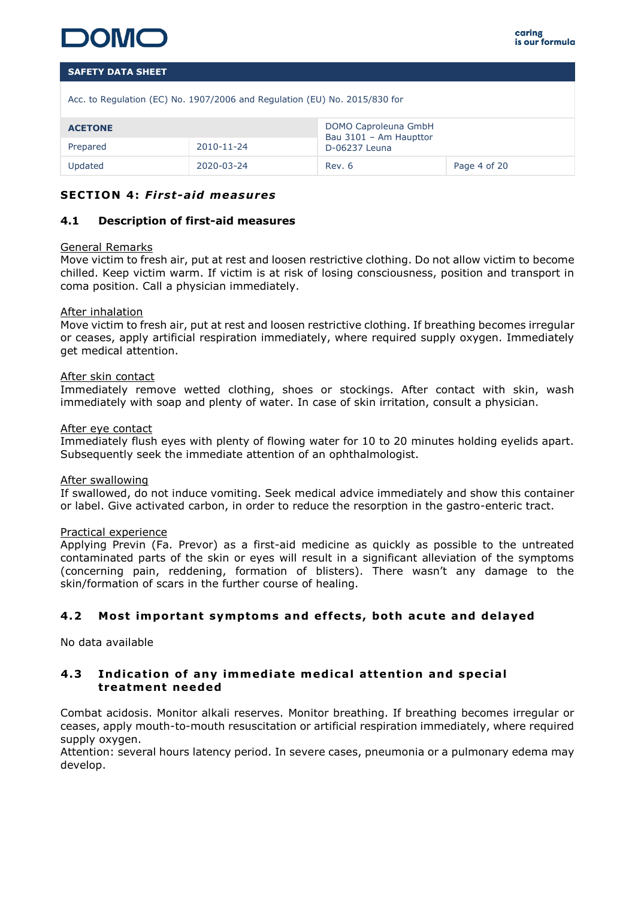

Acc. to Regulation (EC) No. 1907/2006 and Regulation (EU) No. 2015/830 for

| <b>ACETONE</b> |            | DOMO Caproleuna GmbH<br>Bau 3101 - Am Haupttor |              |
|----------------|------------|------------------------------------------------|--------------|
| Prepared       | 2010-11-24 | D-06237 Leuna                                  |              |
| Updated        | 2020-03-24 | Rev. 6                                         | Page 4 of 20 |

### **SECTION 4: First-aid measures**

### **4.1 Description of first-aid measures**

### General Remarks

Move victim to fresh air, put at rest and loosen restrictive clothing. Do not allow victim to become chilled. Keep victim warm. If victim is at risk of losing consciousness, position and transport in coma position. Call a physician immediately.

### After inhalation

Move victim to fresh air, put at rest and loosen restrictive clothing. If breathing becomes irregular or ceases, apply artificial respiration immediately, where required supply oxygen. Immediately get medical attention.

### After skin contact

Immediately remove wetted clothing, shoes or stockings. After contact with skin, wash immediately with soap and plenty of water. In case of skin irritation, consult a physician.

### After eye contact

Immediately flush eyes with plenty of flowing water for 10 to 20 minutes holding eyelids apart. Subsequently seek the immediate attention of an ophthalmologist.

### After swallowing

If swallowed, do not induce vomiting. Seek medical advice immediately and show this container or label. Give activated carbon, in order to reduce the resorption in the gastro-enteric tract.

### Practical experience

Applying Previn (Fa. Prevor) as a first-aid medicine as quickly as possible to the untreated contaminated parts of the skin or eyes will result in a significant alleviation of the symptoms (concerning pain, reddening, formation of blisters). There wasn't any damage to the skin/formation of scars in the further course of healing.

# **4 .2 Most important symptoms and ef fects , both acute and de layed**

No data available

### **4.3** Indication of any immediate medical attention and special **treatment needed**

Combat acidosis. Monitor alkali reserves. Monitor breathing. If breathing becomes irregular or ceases, apply mouth-to-mouth resuscitation or artificial respiration immediately, where required supply oxygen.

Attention: several hours latency period. In severe cases, pneumonia or a pulmonary edema may develop.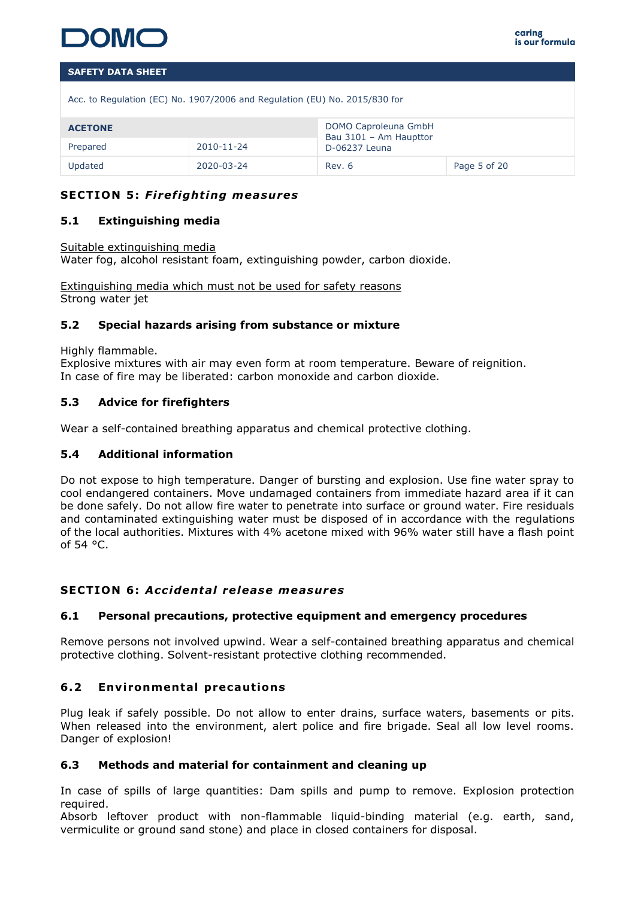

Acc. to Regulation (EC) No. 1907/2006 and Regulation (EU) No. 2015/830 for

| <b>ACETONE</b> |            | DOMO Caproleuna GmbH<br>Bau 3101 - Am Haupttor |              |
|----------------|------------|------------------------------------------------|--------------|
| Prepared       | 2010-11-24 | D-06237 Leuna                                  |              |
| Updated        | 2020-03-24 | Rev. 6                                         | Page 5 of 20 |

# **SECTION 5: Firefighting measures**

### **5.1 Extinguishing media**

### Suitable extinguishing media

Water fog, alcohol resistant foam, extinguishing powder, carbon dioxide.

Extinguishing media which must not be used for safety reasons Strong water jet

# **5.2 Special hazards arising from substance or mixture**

Highly flammable.

Explosive mixtures with air may even form at room temperature. Beware of reignition. In case of fire may be liberated: carbon monoxide and carbon dioxide.

# **5.3 Advice for firefighters**

Wear a self-contained breathing apparatus and chemical protective clothing.

### **5.4 Additional information**

Do not expose to high temperature. Danger of bursting and explosion. Use fine water spray to cool endangered containers. Move undamaged containers from immediate hazard area if it can be done safely. Do not allow fire water to penetrate into surface or ground water. Fire residuals and contaminated extinguishing water must be disposed of in accordance with the regulations of the local authorities. Mixtures with 4% acetone mixed with 96% water still have a flash point of 54 °C.

### **SECTION 6 :** *Acc identa l re lease measures*

### **6.1 Personal precautions, protective equipment and emergency procedures**

Remove persons not involved upwind. Wear a self-contained breathing apparatus and chemical protective clothing. Solvent-resistant protective clothing recommended.

# **6.2 Environmental precautions**

Plug leak if safely possible. Do not allow to enter drains, surface waters, basements or pits. When released into the environment, alert police and fire brigade. Seal all low level rooms. Danger of explosion!

### **6.3 Methods and material for containment and cleaning up**

In case of spills of large quantities: Dam spills and pump to remove. Explosion protection required.

Absorb leftover product with non-flammable liquid-binding material (e.g. earth, sand, vermiculite or ground sand stone) and place in closed containers for disposal.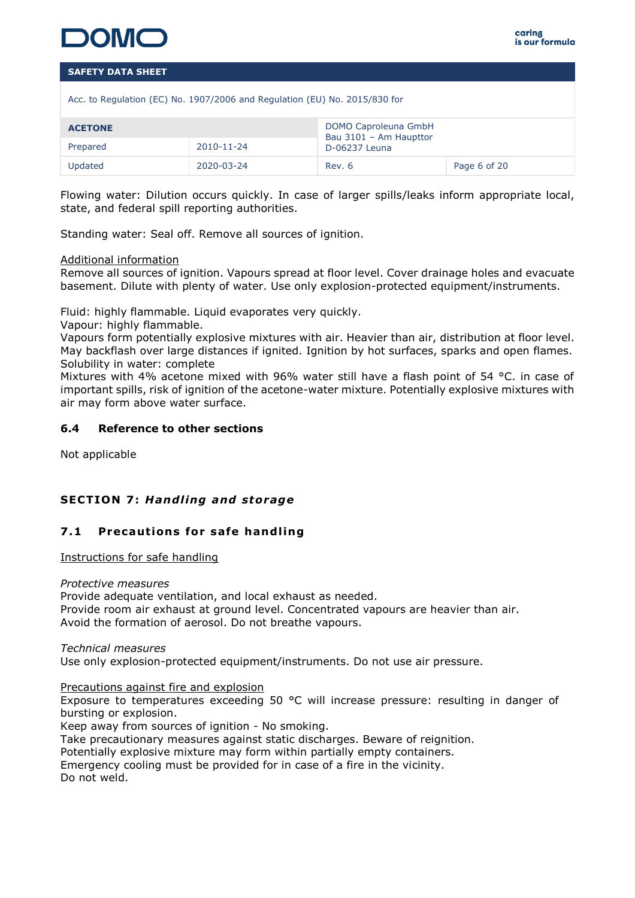

Acc. to Regulation (EC) No. 1907/2006 and Regulation (EU) No. 2015/830 for

| <b>ACETONE</b> |            | DOMO Caproleuna GmbH<br>Bau 3101 - Am Haupttor |              |
|----------------|------------|------------------------------------------------|--------------|
| Prepared       | 2010-11-24 | D-06237 Leuna                                  |              |
| Updated        | 2020-03-24 | Rev. 6                                         | Page 6 of 20 |

Flowing water: Dilution occurs quickly. In case of larger spills/leaks inform appropriate local, state, and federal spill reporting authorities.

Standing water: Seal off. Remove all sources of ignition.

### Additional information

Remove all sources of ignition. Vapours spread at floor level. Cover drainage holes and evacuate basement. Dilute with plenty of water. Use only explosion-protected equipment/instruments.

Fluid: highly flammable. Liquid evaporates very quickly.

Vapour: highly flammable.

Vapours form potentially explosive mixtures with air. Heavier than air, distribution at floor level. May backflash over large distances if ignited. Ignition by hot surfaces, sparks and open flames. Solubility in water: complete

Mixtures with 4% acetone mixed with 96% water still have a flash point of 54 °C. in case of important spills, risk of ignition of the acetone-water mixture. Potentially explosive mixtures with air may form above water surface.

# **6.4 Reference to other sections**

Not applicable

# **SECTION 7: Handling and storage**

# **7.1 Precautions for safe handling**

Instructions for safe handling

### *Protective measures*

Provide adequate ventilation, and local exhaust as needed. Provide room air exhaust at ground level. Concentrated vapours are heavier than air. Avoid the formation of aerosol. Do not breathe vapours.

### *Technical measures* Use only explosion-protected equipment/instruments. Do not use air pressure.

Precautions against fire and explosion

Exposure to temperatures exceeding 50 °C will increase pressure: resulting in danger of bursting or explosion.

Keep away from sources of ignition - No smoking.

Take precautionary measures against static discharges. Beware of reignition.

Potentially explosive mixture may form within partially empty containers.

Emergency cooling must be provided for in case of a fire in the vicinity.

Do not weld.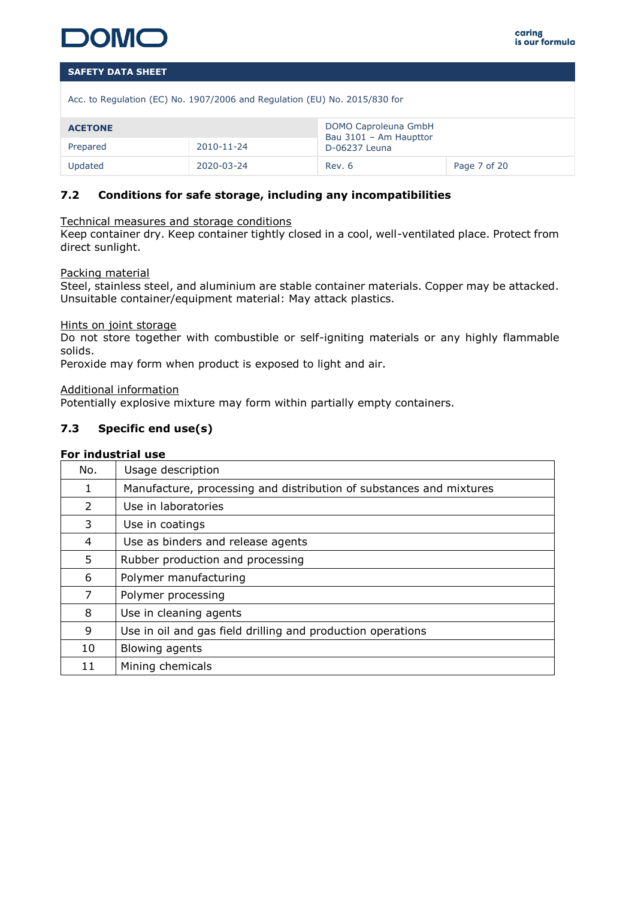

Acc. to Regulation (EC) No. 1907/2006 and Regulation (EU) No. 2015/830 for

| <b>ACETONE</b> |            | DOMO Caproleuna GmbH<br>Bau 3101 - Am Haupttor |              |
|----------------|------------|------------------------------------------------|--------------|
| Prepared       | 2010-11-24 | D-06237 Leuna                                  |              |
| Updated        | 2020-03-24 | Rev. 6                                         | Page 7 of 20 |

# **7.2 Conditions for safe storage, including any incompatibilities**

### Technical measures and storage conditions

Keep container dry. Keep container tightly closed in a cool, well-ventilated place. Protect from direct sunlight.

### Packing material

Steel, stainless steel, and aluminium are stable container materials. Copper may be attacked. Unsuitable container/equipment material: May attack plastics.

### Hints on joint storage

Do not store together with combustible or self-igniting materials or any highly flammable solids.

Peroxide may form when product is exposed to light and air.

Additional information

Potentially explosive mixture may form within partially empty containers.

# **7.3 Specific end use(s)**

# **For industrial use**

| No.           | Usage description                                                   |
|---------------|---------------------------------------------------------------------|
| 1             | Manufacture, processing and distribution of substances and mixtures |
| $\mathcal{L}$ | Use in laboratories                                                 |
| 3             | Use in coatings                                                     |
| 4             | Use as binders and release agents                                   |
| 5.            | Rubber production and processing                                    |
| 6             | Polymer manufacturing                                               |
| 7             | Polymer processing                                                  |
| 8             | Use in cleaning agents                                              |
| 9             | Use in oil and gas field drilling and production operations         |
| 10            | Blowing agents                                                      |
| 11            | Mining chemicals                                                    |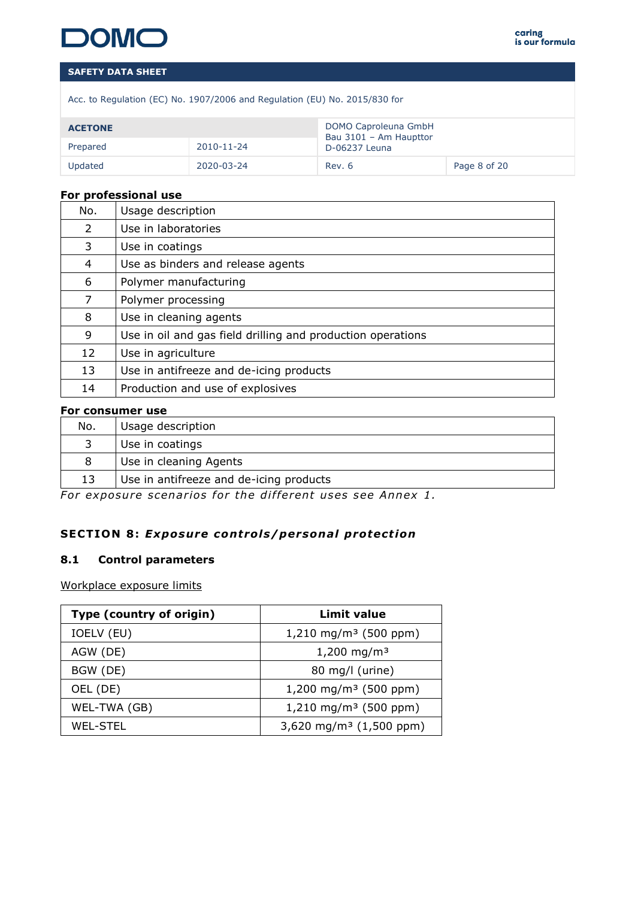

Acc. to Regulation (EC) No. 1907/2006 and Regulation (EU) No. 2015/830 for

| <b>ACETONE</b>         |            | DOMO Caproleuna GmbH<br>Bau 3101 - Am Haupttor<br>D-06237 Leuna |              |
|------------------------|------------|-----------------------------------------------------------------|--------------|
| 2010-11-24<br>Prepared |            |                                                                 |              |
| Updated                | 2020-03-24 | Rev. 6                                                          | Page 8 of 20 |

### **For professional use**

| No. | Usage description                                           |
|-----|-------------------------------------------------------------|
| 2   | Use in laboratories                                         |
| 3   | Use in coatings                                             |
| 4   | Use as binders and release agents                           |
| 6   | Polymer manufacturing                                       |
| 7   | Polymer processing                                          |
| 8   | Use in cleaning agents                                      |
| 9   | Use in oil and gas field drilling and production operations |
| 12  | Use in agriculture                                          |
| 13  | Use in antifreeze and de-icing products                     |
| 14  | Production and use of explosives                            |

### **For consumer use**

| No. | Usage description                       |
|-----|-----------------------------------------|
|     | Use in coatings                         |
| 8   | Use in cleaning Agents                  |
| 13  | Use in antifreeze and de-icing products |

For exposure scenarios for the different uses see Annex 1.

# **SECTION 8: Exposure controls/personal protection**

### **8.1 Control parameters**

Workplace exposure limits

| Type (country of origin) | Limit value                         |
|--------------------------|-------------------------------------|
| IOELV (EU)               | $1,210 \text{ mg/m}^3$ (500 ppm)    |
| AGW (DE)                 | 1,200 mg/m <sup>3</sup>             |
| BGW (DE)                 | 80 mg/l (urine)                     |
| OEL (DE)                 | 1,200 mg/m <sup>3</sup> (500 ppm)   |
| WEL-TWA (GB)             | $1,210$ mg/m <sup>3</sup> (500 ppm) |
| WEL-STEL                 | 3,620 mg/m <sup>3</sup> (1,500 ppm) |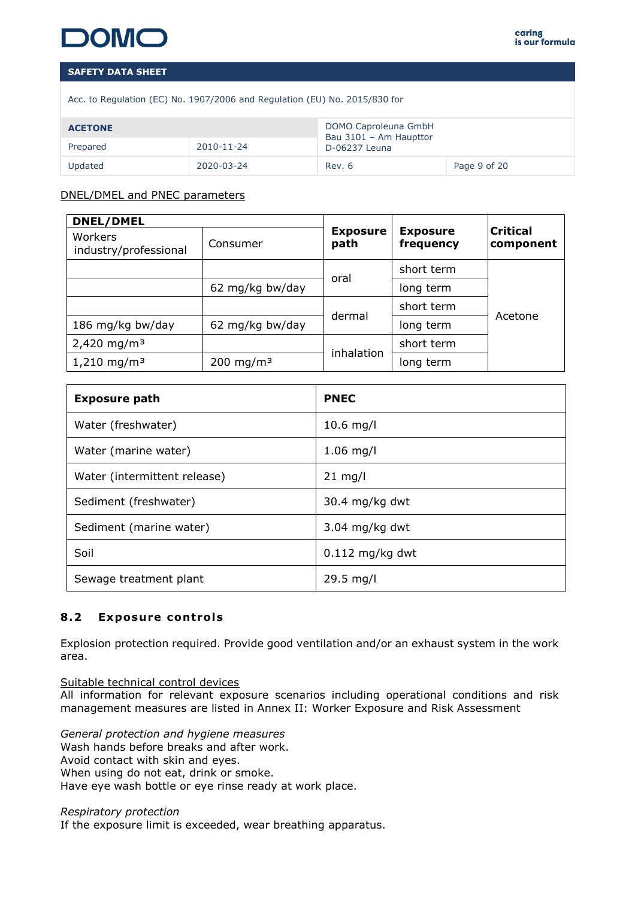Acc. to Regulation (EC) No. 1907/2006 and Regulation (EU) No. 2015/830 for

| <b>ACETONE</b> |            | DOMO Caproleuna GmbH<br>Bau 3101 - Am Haupttor |              |
|----------------|------------|------------------------------------------------|--------------|
| Prepared       | 2010-11-24 | D-06237 Leuna                                  |              |
| Updated        | 2020-03-24 | Rev. 6                                         | Page 9 of 20 |

# DNEL/DMEL and PNEC parameters

| <b>DNEL/DMEL</b>                 |                       |                         |                              |                              |
|----------------------------------|-----------------------|-------------------------|------------------------------|------------------------------|
| Workers<br>industry/professional | Consumer              | <b>Exposure</b><br>path | <b>Exposure</b><br>frequency | <b>Critical</b><br>component |
|                                  |                       |                         | short term                   | Acetone                      |
|                                  | 62 mg/kg bw/day       | oral                    | long term                    |                              |
|                                  |                       |                         | short term                   |                              |
| 186 mg/kg bw/day                 | 62 mg/kg bw/day       | dermal                  | long term                    |                              |
| 2,420 mg/m <sup>3</sup>          |                       | inhalation              | short term                   |                              |
| $1,210$ mg/m <sup>3</sup>        | 200 mg/m <sup>3</sup> |                         | long term                    |                              |

| <b>Exposure path</b>         | <b>PNEC</b>       |
|------------------------------|-------------------|
| Water (freshwater)           | $10.6$ mg/l       |
| Water (marine water)         | $1.06$ mg/l       |
| Water (intermittent release) | $21 \text{ mg/l}$ |
| Sediment (freshwater)        | $30.4$ mg/kg dwt  |
| Sediment (marine water)      | $3.04$ mg/kg dwt  |
| Soil                         | $0.112$ mg/kg dwt |
| Sewage treatment plant       | 29.5 mg/l         |

# **8.2** Exposure controls

Explosion protection required. Provide good ventilation and/or an exhaust system in the work area.

Suitable technical control devices All information for relevant exposure scenarios including operational conditions and risk management measures are listed in Annex II: Worker Exposure and Risk Assessment

*General protection and hygiene measures* Wash hands before breaks and after work. Avoid contact with skin and eyes. When using do not eat, drink or smoke. Have eye wash bottle or eye rinse ready at work place.

*Respiratory protection*

If the exposure limit is exceeded, wear breathing apparatus.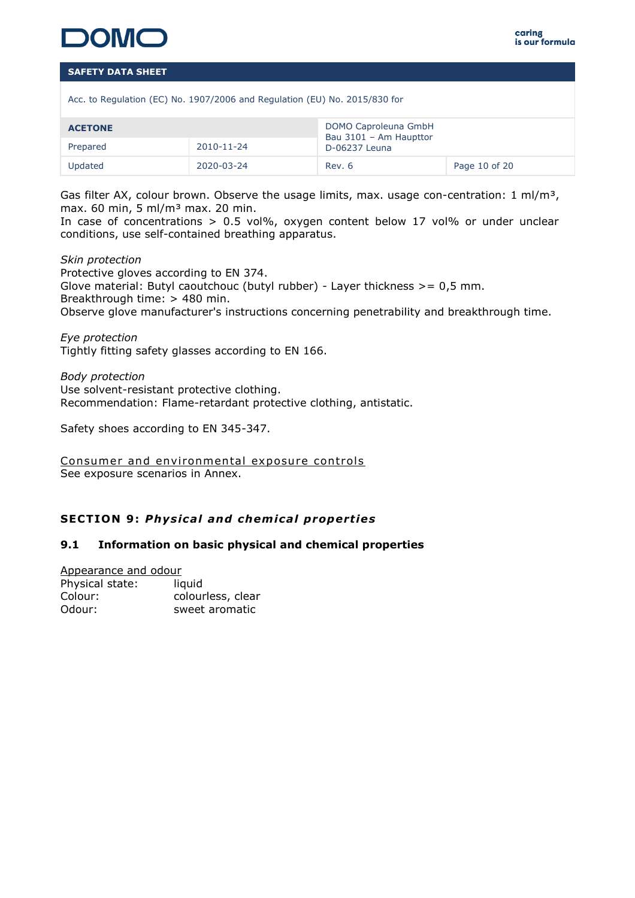

Acc. to Regulation (EC) No. 1907/2006 and Regulation (EU) No. 2015/830 for

| <b>ACETONE</b> |            | DOMO Caproleuna GmbH<br>Bau 3101 - Am Haupttor |               |  |
|----------------|------------|------------------------------------------------|---------------|--|
| Prepared       | 2010-11-24 | D-06237 Leuna                                  |               |  |
| Updated        | 2020-03-24 | Rev. 6                                         | Page 10 of 20 |  |

Gas filter AX, colour brown. Observe the usage limits, max. usage con-centration: 1 ml/m<sup>3</sup>, max. 60 min, 5 ml/m³ max. 20 min.

In case of concentrations  $> 0.5$  vol%, oxygen content below 17 vol% or under unclear conditions, use self-contained breathing apparatus.

*Skin protection* Protective gloves according to EN 374. Glove material: Butyl caoutchouc (butyl rubber) - Layer thickness  $>= 0.5$  mm. Breakthrough time: > 480 min. Observe glove manufacturer's instructions concerning penetrability and breakthrough time.

*Eye protection* Tightly fitting safety glasses according to EN 166.

*Body protection* Use solvent-resistant protective clothing. Recommendation: Flame-retardant protective clothing, antistatic.

Safety shoes according to EN 345-347.

Consumer and environmental exposure controls See exposure scenarios in Annex.

# **SECTION 9 :** *Phys ica l and chem ica l propert ies*

### **9.1 Information on basic physical and chemical properties**

Appearance and odour Physical state: liquid

| Colour: | colourless, clear |
|---------|-------------------|
| Odour:  | sweet aromatic    |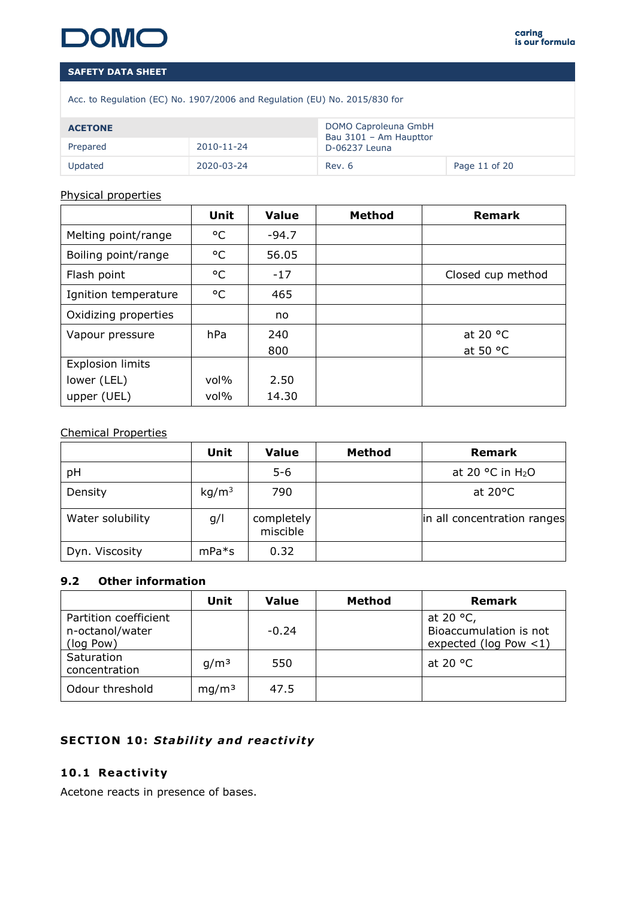# CON

# **SAFETY DATA SHEET**

Acc. to Regulation (EC) No. 1907/2006 and Regulation (EU) No. 2015/830 for

| <b>ACETONE</b> |            | DOMO Caproleuna GmbH<br>Bau 3101 - Am Haupttor |               |
|----------------|------------|------------------------------------------------|---------------|
| Prepared       | 2010-11-24 | D-06237 Leuna                                  |               |
| Updated        | 2020-03-24 | Rev. 6                                         | Page 11 of 20 |

### Physical properties

|                         | Unit    | <b>Value</b> | <b>Method</b> | <b>Remark</b>     |  |  |
|-------------------------|---------|--------------|---------------|-------------------|--|--|
| Melting point/range     | °C      | $-94.7$      |               |                   |  |  |
| Boiling point/range     | °C      | 56.05        |               |                   |  |  |
| Flash point             | °C      | $-17$        |               | Closed cup method |  |  |
| Ignition temperature    | °C      | 465          |               |                   |  |  |
| Oxidizing properties    |         | no           |               |                   |  |  |
| Vapour pressure         | hPa     | 240          |               | at 20 $\degree$ C |  |  |
|                         |         | 800          |               | at 50 $\degree$ C |  |  |
| <b>Explosion limits</b> |         |              |               |                   |  |  |
| lower (LEL)             | $vol\%$ | 2.50         |               |                   |  |  |
| upper (UEL)             | $vol\%$ | 14.30        |               |                   |  |  |

# Chemical Properties

|                  | Unit              | <b>Value</b>           | <b>Method</b> | <b>Remark</b>                         |
|------------------|-------------------|------------------------|---------------|---------------------------------------|
| pH               |                   | $5 - 6$                |               | at 20 $\degree$ C in H <sub>2</sub> O |
| Density          | kg/m <sup>3</sup> | 790                    |               | at $20^{\circ}$ C                     |
| Water solubility | g/l               | completely<br>miscible |               | in all concentration ranges           |
| Dyn. Viscosity   | $mPa*$ s          | 0.32                   |               |                                       |

# **9.2 Other information**

|                                                       | Unit              | Value | Method | <b>Remark</b>                                                            |
|-------------------------------------------------------|-------------------|-------|--------|--------------------------------------------------------------------------|
| Partition coefficient<br>n-octanol/water<br>(log Pow) | $-0.24$           |       |        | at 20 $\degree$ C,<br>Bioaccumulation is not<br>expected ( $log$ Pow <1) |
| Saturation<br>concentration                           | q/m <sup>3</sup>  | 550   |        | at 20 $\degree$ C                                                        |
| Odour threshold                                       | mg/m <sup>3</sup> | 47.5  |        |                                                                          |

# **SECTION 10: Stability and reactivity**

# **10 .1 React iv ity**

Acetone reacts in presence of bases.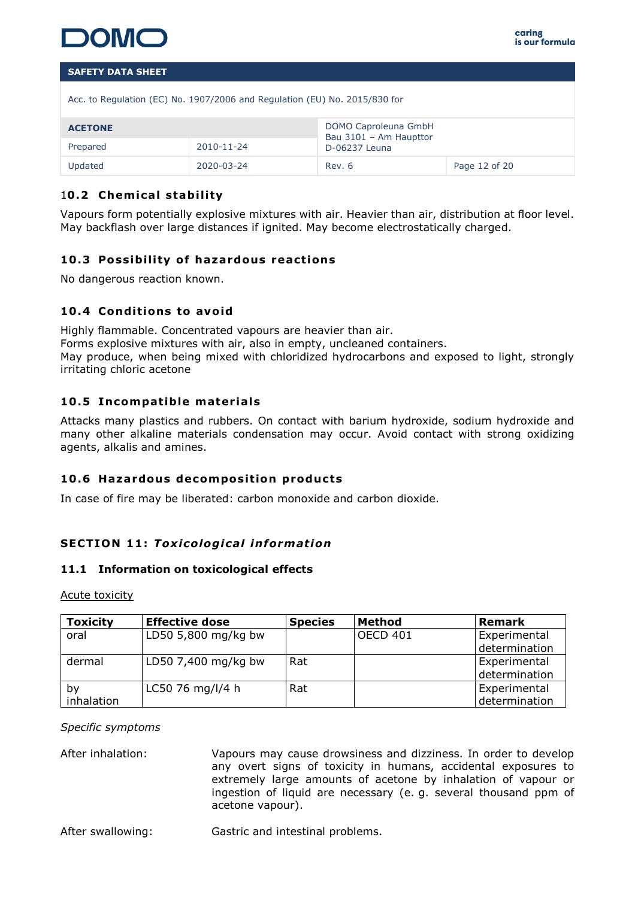

| Acc. to Regulation (EC) No. 1907/2006 and Regulation (EU) No. 2015/830 for |                      |
|----------------------------------------------------------------------------|----------------------|
| <b>ACETONE</b>                                                             | DOMO Caproleuna GmbH |

| <b>ACETONE</b> |            | DOMO Caproleuna GmbH<br>Bau 3101 - Am Haupttor |               |  |  |
|----------------|------------|------------------------------------------------|---------------|--|--|
| Prepared       | 2010-11-24 | D-06237 Leuna                                  |               |  |  |
| <b>Updated</b> | 2020-03-24 | Rev. 6                                         | Page 12 of 20 |  |  |

# 10.2 Chemical stability

Vapours form potentially explosive mixtures with air. Heavier than air, distribution at floor level. May backflash over large distances if ignited. May become electrostatically charged.

# **10.3 Possibility of hazardous reactions**

No dangerous reaction known.

# 10.4 Conditions to avoid

Highly flammable. Concentrated vapours are heavier than air. Forms explosive mixtures with air, also in empty, uncleaned containers. May produce, when being mixed with chloridized hydrocarbons and exposed to light, strongly irritating chloric acetone

# **10.5 Incompatible materials**

Attacks many plastics and rubbers. On contact with barium hydroxide, sodium hydroxide and many other alkaline materials condensation may occur. Avoid contact with strong oxidizing agents, alkalis and amines.

# 10.6 Hazardous decomposition products

In case of fire may be liberated: carbon monoxide and carbon dioxide.

# **SECTION 11 :** *Tox ico log ica l informat ion*

### **11.1 Information on toxicological effects**

Acute toxicity

| <b>Toxicity</b>  | <b>Effective dose</b> | <b>Species</b> | Method          | Remark                        |
|------------------|-----------------------|----------------|-----------------|-------------------------------|
| oral             | LD50 5,800 mg/kg bw   |                | <b>OECD 401</b> | Experimental<br>determination |
| dermal           | LD50 7,400 mg/kg bw   | Rat            |                 | Experimental<br>determination |
| by<br>inhalation | LC50 76 mg/l/4 h      | Rat            |                 | Experimental<br>determination |

### *Specific symptoms*

After inhalation: Vapours may cause drowsiness and dizziness. In order to develop any overt signs of toxicity in humans, accidental exposures to extremely large amounts of acetone by inhalation of vapour or ingestion of liquid are necessary (e. g. several thousand ppm of acetone vapour).

After swallowing: Gastric and intestinal problems.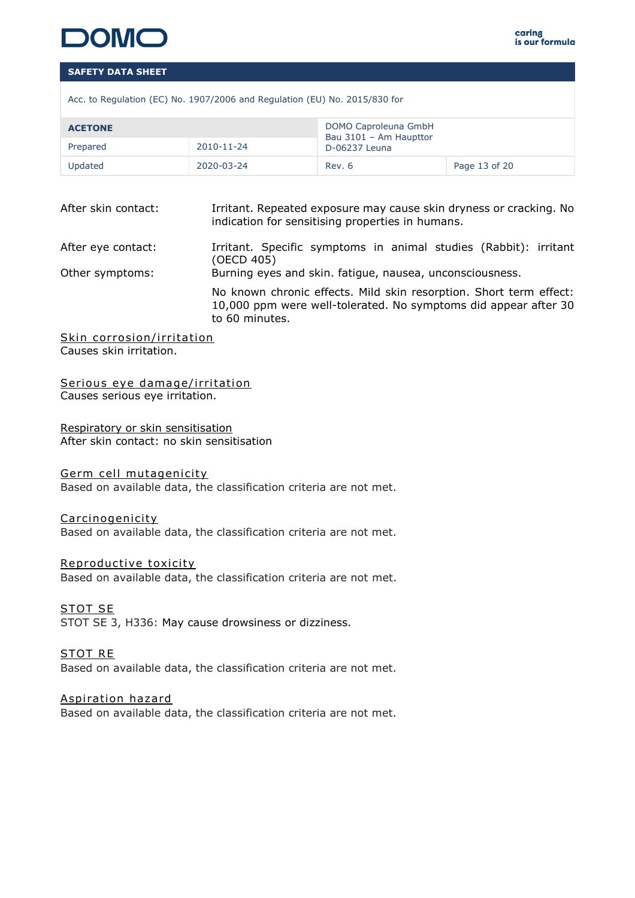

Acc. to Regulation (EC) No. 1907/2006 and Regulation (EU) No. 2015/830 for

| <b>ACETONE</b> |            | DOMO Caproleuna GmbH<br>Bau 3101 - Am Haupttor |               |  |
|----------------|------------|------------------------------------------------|---------------|--|
| Prepared       | 2010-11-24 | D-06237 Leuna                                  |               |  |
| Updated        | 2020-03-24 | Rev. 6                                         | Page 13 of 20 |  |

| After skin contact: | Irritant. Repeated exposure may cause skin dryness or cracking. No<br>indication for sensitising properties in humans. |
|---------------------|------------------------------------------------------------------------------------------------------------------------|
| After eye contact:  | Irritant. Specific symptoms in animal studies (Rabbit): irritant                                                       |

(OECD 405) Other symptoms: Burning eyes and skin. fatigue, nausea, unconsciousness. No known chronic effects. Mild skin resorption. Short term effect: 10,000 ppm were well-tolerated. No symptoms did appear after 30 to 60 minutes.

Skin corrosion/irritation Causes skin irritation.

Serious eye damage/irritation Causes serious eye irritation.

Respiratory or skin sensitisation After skin contact: no skin sensitisation

Germ cell mutagenicity Based on available data, the classification criteria are not met.

### Carcinogenicity

Based on available data, the classification criteria are not met.

Reproductive toxicity

Based on available data, the classification criteria are not met.

STOT SE STOT SE 3, H336: May cause drowsiness or dizziness.

STOT RE Based on available data, the classification criteria are not met.

Aspiration hazard Based on available data, the classification criteria are not met.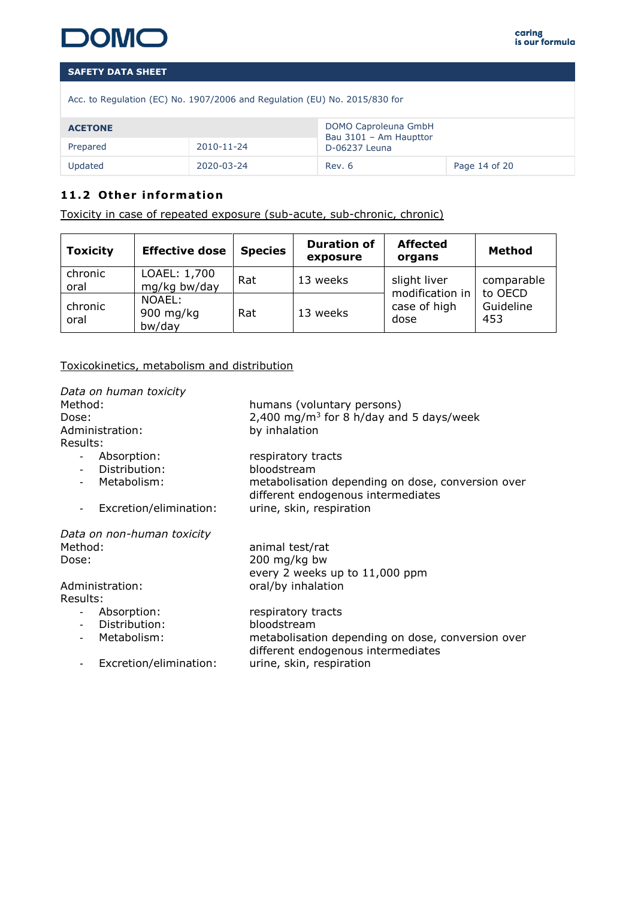

|  |  | Acc. to Regulation (EC) No. 1907/2006 and Regulation (EU) No. 2015/830 for |  |  |  |
|--|--|----------------------------------------------------------------------------|--|--|--|
|  |  |                                                                            |  |  |  |

| <b>ACETONE</b>         |            | DOMO Caproleuna GmbH<br>Bau 3101 - Am Haupttor |               |  |
|------------------------|------------|------------------------------------------------|---------------|--|
| 2010-11-24<br>Prepared |            | D-06237 Leuna                                  |               |  |
| Updated                | 2020-03-24 | Rev. 6                                         | Page 14 of 20 |  |

# 11.2 Other information

Toxicity in case of repeated exposure (sub-acute, sub-chronic, chronic)

| <b>Toxicity</b> | <b>Effective dose</b>         | <b>Species</b> | <b>Duration of</b><br>exposure | <b>Affected</b><br>organs               | Method                      |
|-----------------|-------------------------------|----------------|--------------------------------|-----------------------------------------|-----------------------------|
| chronic<br>oral | LOAEL: 1,700<br>mg/kg bw/day  | Rat            | 13 weeks                       | slight liver                            | comparable                  |
| chronic<br>oral | NOAEL:<br>900 mg/kg<br>bw/day | Rat            | 13 weeks                       | modification in<br>case of high<br>dose | to OECD<br>Guideline<br>453 |

Toxicokinetics, metabolism and distribution

| Data on human toxicity<br>Method:<br>Dose:<br>Administration:<br>Results: | humans (voluntary persons)<br>2,400 mg/m <sup>3</sup> for 8 h/day and 5 days/week<br>by inhalation |
|---------------------------------------------------------------------------|----------------------------------------------------------------------------------------------------|
| Absorption:                                                               | respiratory tracts                                                                                 |
| Distribution:                                                             | bloodstream                                                                                        |
| Metabolism:                                                               | metabolisation depending on dose, conversion over<br>different endogenous intermediates            |
| Excretion/elimination:<br>$\blacksquare$                                  | urine, skin, respiration                                                                           |
| Data on non-human toxicity                                                |                                                                                                    |
| Method:                                                                   | animal test/rat                                                                                    |
| Dose:                                                                     | 200 mg/kg bw                                                                                       |
|                                                                           | every 2 weeks up to 11,000 ppm                                                                     |
| Administration:                                                           | oral/by inhalation                                                                                 |
| Results:                                                                  |                                                                                                    |
|                                                                           |                                                                                                    |
| - Absorption:<br>Distribution:                                            | respiratory tracts<br>bloodstream                                                                  |
| $\sim$                                                                    |                                                                                                    |
| Metabolism:                                                               | metabolisation depending on dose, conversion over<br>different endogenous intermediates            |
| Excretion/elimination:<br>$\overline{a}$                                  | urine, skin, respiration                                                                           |
|                                                                           |                                                                                                    |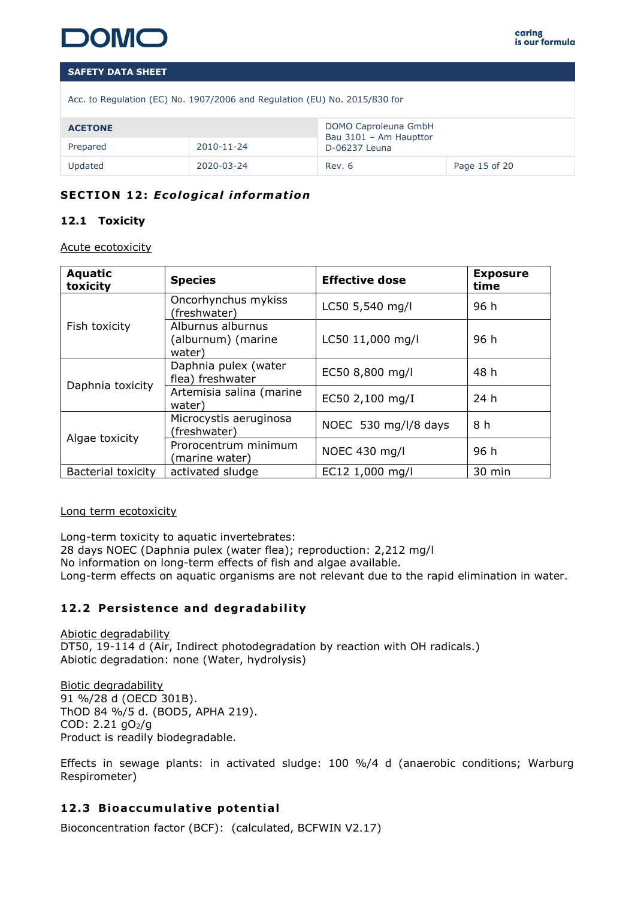

|  |  |  |  |  | Acc. to Regulation (EC) No. 1907/2006 and Regulation (EU) No. 2015/830 for |
|--|--|--|--|--|----------------------------------------------------------------------------|
|  |  |  |  |  |                                                                            |

| <b>ACETONE</b>         |            | DOMO Caproleuna GmbH<br>Bau 3101 - Am Haupttor |               |  |
|------------------------|------------|------------------------------------------------|---------------|--|
| 2010-11-24<br>Prepared |            | D-06237 Leuna                                  |               |  |
| Updated                | 2020-03-24 | Rev. 6                                         | Page 15 of 20 |  |

# **SECTION 12: Ecological information**

# **12.1 Toxicity**

Acute ecotoxicity

| <b>Aquatic</b><br>toxicity | <b>Species</b>                                    | <b>Effective dose</b> | <b>Exposure</b><br>time |
|----------------------------|---------------------------------------------------|-----------------------|-------------------------|
|                            | Oncorhynchus mykiss<br>(freshwater)               | LC50 5,540 mg/l       | 96 h                    |
| Fish toxicity              | Alburnus alburnus<br>(alburnum) (marine<br>water) | LC50 11,000 mg/l      | 96 h                    |
|                            | Daphnia pulex (water<br>flea) freshwater          | EC50 8,800 mg/l       | 48 h                    |
| Daphnia toxicity           | Artemisia salina (marine<br>water)                | EC50 2,100 mg/I       | 24 h                    |
|                            | Microcystis aeruginosa<br>(freshwater)            | NOEC 530 mg/l/8 days  | 8 h                     |
| Algae toxicity             | Prorocentrum minimum<br>(marine water)            | NOEC 430 mg/l         | 96 h                    |
| <b>Bacterial toxicity</b>  | activated sludge                                  | EC12 1,000 mg/l       | 30 min                  |

### Long term ecotoxicity

Long-term toxicity to aquatic invertebrates:

28 days NOEC (Daphnia pulex (water flea); reproduction: 2,212 mg/l

No information on long-term effects of fish and algae available.

Long-term effects on aquatic organisms are not relevant due to the rapid elimination in water.

# 12.2 Persistence and degradability

Abiotic degradability DT50, 19-114 d (Air, Indirect photodegradation by reaction with OH radicals.) Abiotic degradation: none (Water, hydrolysis)

Biotic degradability 91 %/28 d (OECD 301B). ThOD 84 %/5 d. (BOD5, APHA 219). COD: 2.21 gO2/g Product is readily biodegradable.

Effects in sewage plants: in activated sludge: 100 %/4 d (anaerobic conditions; Warburg Respirometer)

# **12.3 Bioaccumulative potential**

Bioconcentration factor (BCF): (calculated, BCFWIN V2.17)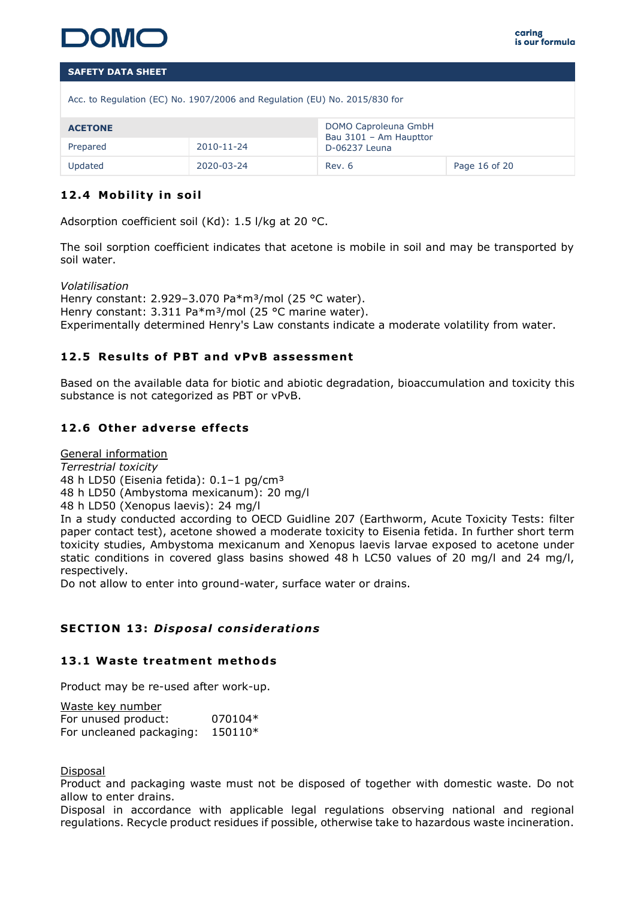

| Acc. to Regulation (EC) No. 1907/2006 and Regulation (EU) No. 2015/830 for |  |               |  |  |  |  |
|----------------------------------------------------------------------------|--|---------------|--|--|--|--|
| DOMO Caproleuna GmbH<br><b>ACETONE</b><br>Bau 3101 - Am Haupttor           |  |               |  |  |  |  |
| 2010-11-24<br>Prepared                                                     |  | D-06237 Leuna |  |  |  |  |
| Updated<br>2020-03-24<br>Rev. 6<br>Page 16 of 20                           |  |               |  |  |  |  |

# **12.4 Mobility in soil**

Adsorption coefficient soil (Kd): 1.5 l/kg at 20 °C.

The soil sorption coefficient indicates that acetone is mobile in soil and may be transported by soil water.

*Volatilisation* Henry constant: 2.929-3.070 Pa\*m<sup>3</sup>/mol (25 °C water). Henry constant: 3.311 Pa\*m<sup>3</sup>/mol (25 °C marine water). Experimentally determined Henry's Law constants indicate a moderate volatility from water.

# **12 .5 Resu lts of PBT and vPvB assessment**

Based on the available data for biotic and abiotic degradation, bioaccumulation and toxicity this substance is not categorized as PBT or vPvB.

# **12 .6 Other adverse ef fects**

General information

*Terrestrial toxicity*

48 h LD50 (Eisenia fetida): 0.1-1 pg/cm<sup>3</sup>

48 h LD50 (Ambystoma mexicanum): 20 mg/l

48 h LD50 (Xenopus laevis): 24 mg/l

In a study conducted according to OECD Guidline 207 (Earthworm, Acute Toxicity Tests: filter paper contact test), acetone showed a moderate toxicity to Eisenia fetida. In further short term toxicity studies, Ambystoma mexicanum and Xenopus laevis larvae exposed to acetone under static conditions in covered glass basins showed 48 h LC50 values of 20 mg/l and 24 mg/l, respectively.

Do not allow to enter into ground-water, surface water or drains.

### **SECTION 13: Disposal considerations**

### **13 .1 Waste treatment methods**

Product may be re-used after work-up.

| Waste key number         |         |
|--------------------------|---------|
| For unused product:      | 070104* |
| For uncleaned packaging: | 150110* |

Disposal

Product and packaging waste must not be disposed of together with domestic waste. Do not allow to enter drains.

Disposal in accordance with applicable legal regulations observing national and regional regulations. Recycle product residues if possible, otherwise take to hazardous waste incineration.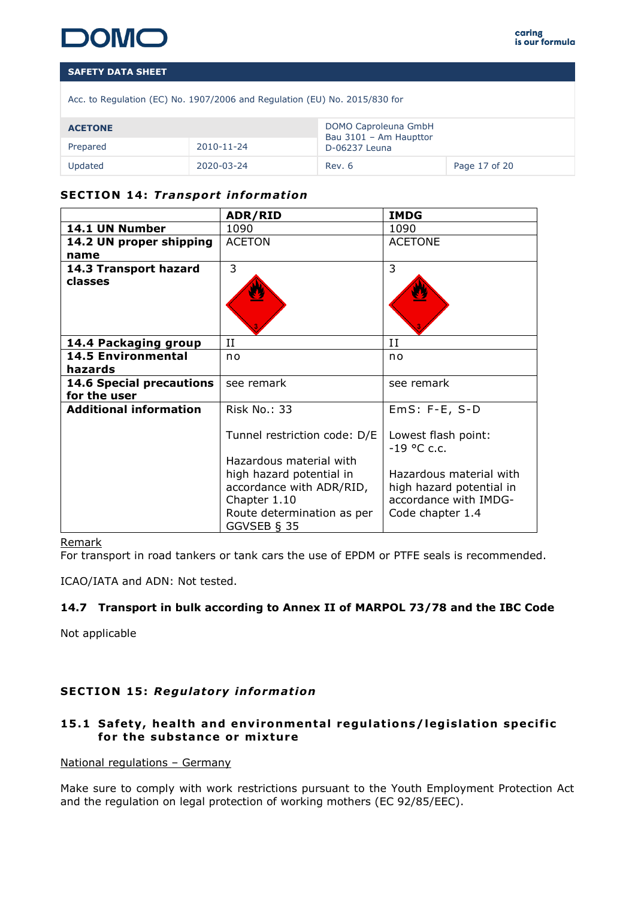

| Acc. to Regulation (EC) No. 1907/2006 and Regulation (EU) No. 2015/830 for |  |  |  |
|----------------------------------------------------------------------------|--|--|--|
|                                                                            |  |  |  |

| <b>ACETONE</b>         |            | DOMO Caproleuna GmbH<br>Bau 3101 - Am Haupttor |               |  |
|------------------------|------------|------------------------------------------------|---------------|--|
| 2010-11-24<br>Prepared |            | D-06237 Leuna                                  |               |  |
| Updated                | 2020-03-24 | Rev. 6                                         | Page 17 of 20 |  |

# **SECTION 14: Transport information**

|                                      | ADR/RID                                      | <b>IMDG</b>                          |
|--------------------------------------|----------------------------------------------|--------------------------------------|
| 14.1 UN Number                       | 1090                                         | 1090                                 |
| 14.2 UN proper shipping              | <b>ACETON</b>                                | <b>ACETONE</b>                       |
| name                                 |                                              |                                      |
| 14.3 Transport hazard                | 3                                            | 3                                    |
| classes                              |                                              |                                      |
| 14.4 Packaging group                 | II                                           | П                                    |
| <b>14.5 Environmental</b><br>hazards | n <sub>o</sub>                               | n <sub>o</sub>                       |
| <b>14.6 Special precautions</b>      | see remark                                   | see remark                           |
| for the user                         |                                              |                                      |
| <b>Additional information</b>        | Risk No.: 33                                 | $EmS: F-E, S-D$                      |
|                                      | Tunnel restriction code: D/E                 | Lowest flash point:<br>$-19$ °C c.c. |
|                                      | Hazardous material with                      |                                      |
|                                      | high hazard potential in                     | Hazardous material with              |
|                                      | accordance with ADR/RID,                     | high hazard potential in             |
|                                      | Chapter 1.10                                 | accordance with IMDG-                |
|                                      | Route determination as per<br>GGVSEB $\S$ 35 | Code chapter 1.4                     |

### Remark

For transport in road tankers or tank cars the use of EPDM or PTFE seals is recommended.

ICAO/IATA and ADN: Not tested.

### **14.7 Transport in bulk according to Annex II of MARPOL 73/78 and the IBC Code**

Not applicable

### **SECTION 15 :** *Regu latory in format ion*

# 15.1 Safety, health and environmental regulations/legislation specific for the substance or mixture

### National regulations – Germany

Make sure to comply with work restrictions pursuant to the Youth Employment Protection Act and the regulation on legal protection of working mothers (EC 92/85/EEC).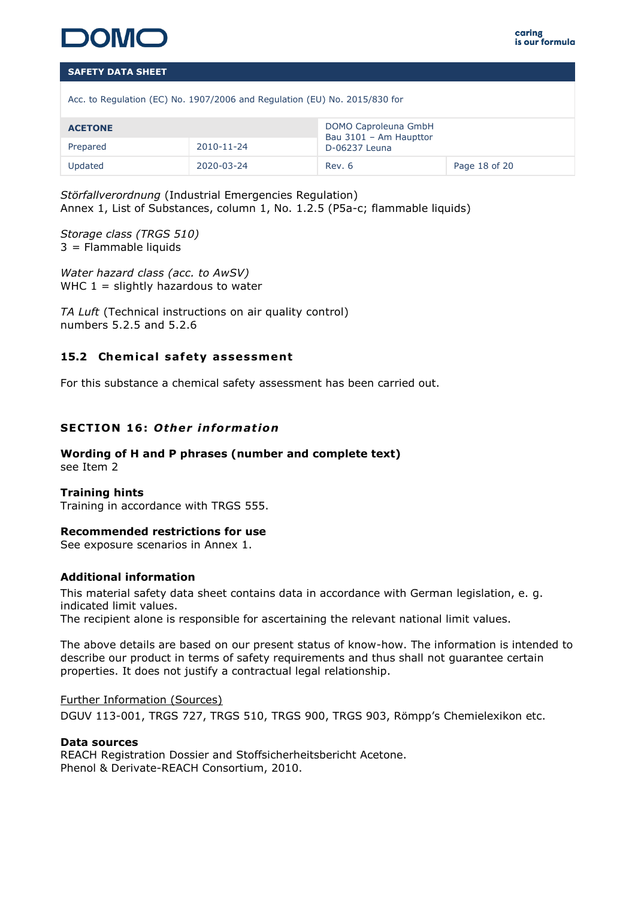

Acc. to Regulation (EC) No. 1907/2006 and Regulation (EU) No. 2015/830 for

| <b>ACETONE</b>         |  | DOMO Caproleuna GmbH<br>Bau 3101 - Am Haupttor |               |  |
|------------------------|--|------------------------------------------------|---------------|--|
| Prepared<br>2010-11-24 |  | D-06237 Leuna                                  |               |  |
| Updated<br>2020-03-24  |  | Rev. 6                                         | Page 18 of 20 |  |

*Störfallverordnung* (Industrial Emergencies Regulation) Annex 1, List of Substances, column 1, No. 1.2.5 (P5a-c; flammable liquids)

*Storage class (TRGS 510)* 3 = Flammable liquids

*Water hazard class (acc. to AwSV)* WHC  $1 =$  slightly hazardous to water

*TA Luft* (Technical instructions on air quality control) numbers 5.2.5 and 5.2.6

# 15.2 Chemical safety assessment

For this substance a chemical safety assessment has been carried out.

# **SECTION 16: Other information**

### **Wording of H and P phrases (number and complete text)**  see Item 2

### **Training hints**

Training in accordance with TRGS 555.

### **Recommended restrictions for use**

See exposure scenarios in Annex 1.

### **Additional information**

This material safety data sheet contains data in accordance with German legislation, e. g. indicated limit values.

The recipient alone is responsible for ascertaining the relevant national limit values.

The above details are based on our present status of know-how. The information is intended to describe our product in terms of safety requirements and thus shall not guarantee certain properties. It does not justify a contractual legal relationship.

### Further Information (Sources)

DGUV 113-001, TRGS 727, TRGS 510, TRGS 900, TRGS 903, Römpp's Chemielexikon etc.

### **Data sources**

REACH Registration Dossier and Stoffsicherheitsbericht Acetone. Phenol & Derivate-REACH Consortium, 2010.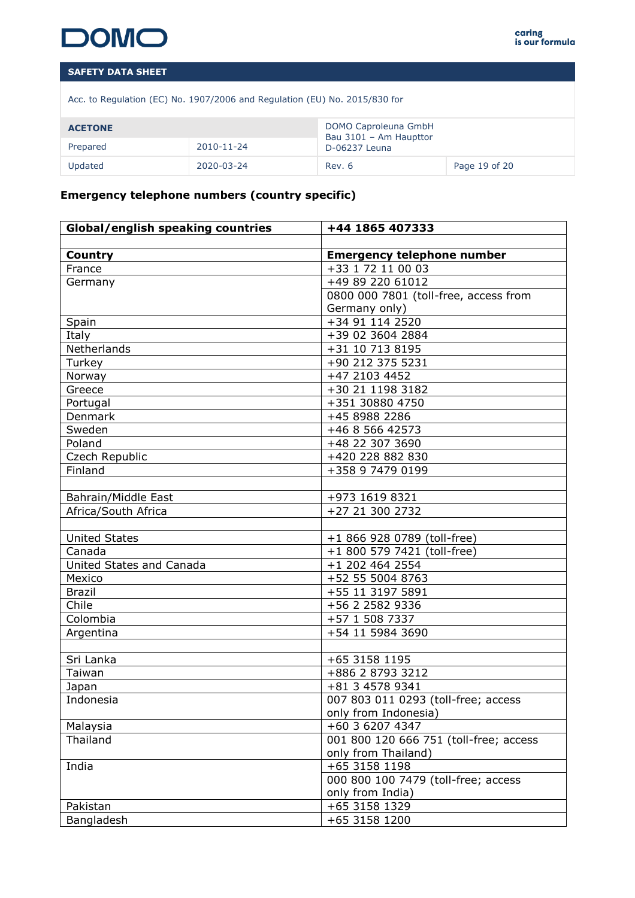

Acc. to Regulation (EC) No. 1907/2006 and Regulation (EU) No. 2015/830 for

| <b>ACETONE</b> |            | DOMO Caproleuna GmbH<br>Bau 3101 - Am Haupttor |               |
|----------------|------------|------------------------------------------------|---------------|
| Prepared       | 2010-11-24 | D-06237 Leuna                                  |               |
| Updated        | 2020-03-24 | Rev. 6                                         | Page 19 of 20 |

# **Emergency telephone numbers (country specific)**

| <b>Global/english speaking countries</b> | +44 1865 407333                        |
|------------------------------------------|----------------------------------------|
|                                          |                                        |
| <b>Country</b>                           | <b>Emergency telephone number</b>      |
| France                                   | +33 1 72 11 00 03                      |
| Germany                                  | +49 89 220 61012                       |
|                                          | 0800 000 7801 (toll-free, access from  |
|                                          | Germany only)                          |
| Spain                                    | +34 91 114 2520                        |
| Italy                                    | +39 02 3604 2884                       |
| Netherlands                              | +31 10 713 8195                        |
| Turkey                                   | +90 212 375 5231                       |
| Norway                                   | +47 2103 4452                          |
| Greece                                   | +30 21 1198 3182                       |
| Portugal                                 | +351 30880 4750                        |
| Denmark                                  | +45 8988 2286                          |
| Sweden                                   | +46 8 566 42573                        |
| Poland                                   | +48 22 307 3690                        |
| Czech Republic                           | +420 228 882 830                       |
| Finland                                  | +358 9 7479 0199                       |
|                                          |                                        |
| Bahrain/Middle East                      | +973 1619 8321                         |
| Africa/South Africa                      | +27 21 300 2732                        |
|                                          |                                        |
| <b>United States</b>                     | +1 866 928 0789 (toll-free)            |
| Canada                                   | +1 800 579 7421 (toll-free)            |
| United States and Canada                 | +1 202 464 2554                        |
| Mexico                                   | +52 55 5004 8763                       |
| <b>Brazil</b>                            | +55 11 3197 5891                       |
| Chile                                    | +56 2 2582 9336                        |
| Colombia                                 | +57 1 508 7337                         |
| Argentina                                | +54 11 5984 3690                       |
|                                          |                                        |
| Sri Lanka                                | +65 3158 1195                          |
| Taiwan                                   | +886 2 8793 3212                       |
| Japan                                    | +81 3 4578 9341                        |
| Indonesia                                | 007 803 011 0293 (toll-free; access    |
|                                          | only from Indonesia)                   |
| Malaysia                                 | +60 3 6207 4347                        |
| Thailand                                 | 001 800 120 666 751 (toll-free; access |
|                                          | only from Thailand)                    |
| India                                    | +65 3158 1198                          |
|                                          | 000 800 100 7479 (toll-free; access    |
|                                          | only from India)                       |
| Pakistan                                 | +65 3158 1329                          |
| Bangladesh                               | +65 3158 1200                          |